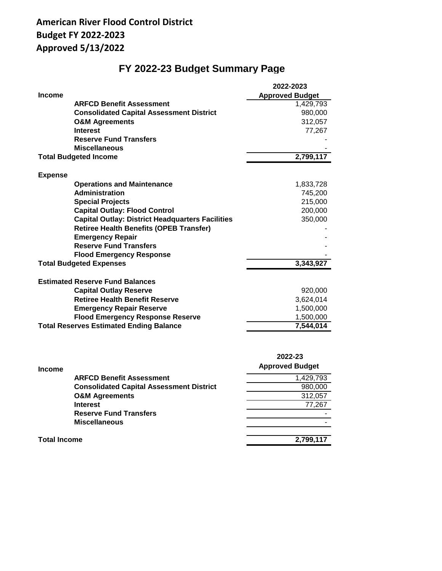# **American River Flood Control District Budget FY 2022-2023 Approved 5/13/2022**

# **FY 2022-23 Budget Summary Page**

|                                                         | 2022-2023              |
|---------------------------------------------------------|------------------------|
| <b>Income</b>                                           | <b>Approved Budget</b> |
| <b>ARFCD Benefit Assessment</b>                         | 1,429,793              |
| <b>Consolidated Capital Assessment District</b>         | 980,000                |
| <b>O&amp;M Agreements</b>                               | 312,057                |
| <b>Interest</b>                                         | 77,267                 |
| <b>Reserve Fund Transfers</b>                           |                        |
| <b>Miscellaneous</b>                                    |                        |
| <b>Total Budgeted Income</b>                            | 2,799,117              |
| <b>Expense</b>                                          |                        |
| <b>Operations and Maintenance</b>                       | 1,833,728              |
| <b>Administration</b>                                   | 745,200                |
| <b>Special Projects</b>                                 | 215,000                |
| <b>Capital Outlay: Flood Control</b>                    | 200,000                |
| <b>Capital Outlay: District Headquarters Facilities</b> | 350,000                |
| <b>Retiree Health Benefits (OPEB Transfer)</b>          |                        |
| <b>Emergency Repair</b>                                 |                        |
| <b>Reserve Fund Transfers</b>                           |                        |
| <b>Flood Emergency Response</b>                         |                        |
| <b>Total Budgeted Expenses</b>                          | 3,343,927              |
| <b>Estimated Reserve Fund Balances</b>                  |                        |
| <b>Capital Outlay Reserve</b>                           | 920,000                |
| <b>Retiree Health Benefit Reserve</b>                   | 3,624,014              |
| <b>Emergency Repair Reserve</b>                         | 1,500,000              |
| <b>Flood Emergency Response Reserve</b>                 | 1,500,000              |
| <b>Total Reserves Estimated Ending Balance</b>          | 7,544,014              |

| <b>Income</b>       |                                                 | 2022-23<br><b>Approved Budget</b> |
|---------------------|-------------------------------------------------|-----------------------------------|
|                     | <b>ARFCD Benefit Assessment</b>                 | 1,429,793                         |
|                     | <b>Consolidated Capital Assessment District</b> | 980,000                           |
|                     | <b>O&amp;M Agreements</b>                       | 312,057                           |
|                     | <b>Interest</b>                                 | 77,267                            |
|                     | <b>Reserve Fund Transfers</b>                   |                                   |
|                     | <b>Miscellaneous</b>                            |                                   |
| <b>Total Income</b> |                                                 | 2,799,117                         |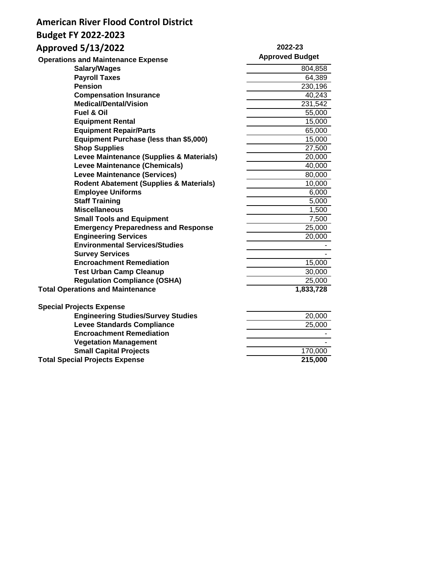# **American River Flood Control District**

# **Budget FY 2022-2023**

# **Approved 5/13/2022**

#### **2022-23 Approved Budget**

| <b>Operations and Maintenance Expense</b>          | Approved Budget      |
|----------------------------------------------------|----------------------|
| Salary/Wages                                       | 804,858              |
| <b>Payroll Taxes</b>                               | 64,389               |
| <b>Pension</b>                                     | 230,196              |
| <b>Compensation Insurance</b>                      | 40,243               |
| <b>Medical/Dental/Vision</b>                       | 231,542              |
| <b>Fuel &amp; Oil</b>                              | 55,000               |
| <b>Equipment Rental</b>                            | 15,000               |
| <b>Equipment Repair/Parts</b>                      | 65,000               |
| Equipment Purchase (less than \$5,000)             | 15,000               |
| <b>Shop Supplies</b>                               | 27,500               |
| Levee Maintenance (Supplies & Materials)           | 20,000               |
| Levee Maintenance (Chemicals)                      | 40,000               |
| <b>Levee Maintenance (Services)</b>                | 80,000               |
| <b>Rodent Abatement (Supplies &amp; Materials)</b> | 10,000               |
| <b>Employee Uniforms</b>                           | 6,000                |
| <b>Staff Training</b>                              | 5,000                |
| <b>Miscellaneous</b>                               | 1,500                |
| <b>Small Tools and Equipment</b>                   | 7,500                |
| <b>Emergency Preparedness and Response</b>         | 25,000               |
| <b>Engineering Services</b>                        | 20,000               |
| <b>Environmental Services/Studies</b>              |                      |
| <b>Survey Services</b>                             |                      |
| <b>Encroachment Remediation</b>                    | 15,000               |
| <b>Test Urban Camp Cleanup</b>                     | 30,000               |
| <b>Regulation Compliance (OSHA)</b>                | 25,000               |
| <b>Total Operations and Maintenance</b>            | 1,833,728            |
| <b>Special Projects Expense</b>                    |                      |
| <b>Engineering Studies/Survey Studies</b>          | 20,000               |
| <b>Levee Standards Compliance</b>                  | 25,000               |
| <b>Encroachment Remediation</b>                    |                      |
| <b>Vegetation Management</b>                       |                      |
| <b>Small Capital Projects</b>                      | 170,000              |
| <b>Total Special Projects Expense</b>              | $\overline{2}15,000$ |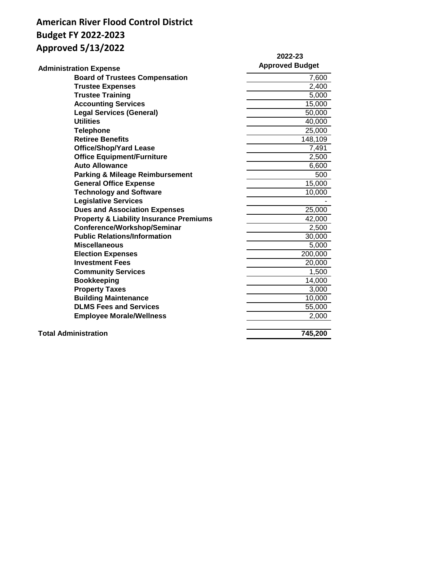# **American River Flood Control District Budget FY 2022-2023 Approved 5/13/2022**

|                                                    | 2022-23                |
|----------------------------------------------------|------------------------|
| <b>Administration Expense</b>                      | <b>Approved Budget</b> |
| <b>Board of Trustees Compensation</b>              | 7,600                  |
| <b>Trustee Expenses</b>                            | 2,400                  |
| <b>Trustee Training</b>                            | 5,000                  |
| <b>Accounting Services</b>                         | 15,000                 |
| <b>Legal Services (General)</b>                    | 50,000                 |
| <b>Utilities</b>                                   | 40,000                 |
| <b>Telephone</b>                                   | 25,000                 |
| <b>Retiree Benefits</b>                            | 148,109                |
| <b>Office/Shop/Yard Lease</b>                      | 7,491                  |
| <b>Office Equipment/Furniture</b>                  | 2,500                  |
| <b>Auto Allowance</b>                              | 6,600                  |
| <b>Parking &amp; Mileage Reimbursement</b>         | 500                    |
| <b>General Office Expense</b>                      | $\overline{1}5,000$    |
| <b>Technology and Software</b>                     | 10,000                 |
| <b>Legislative Services</b>                        |                        |
| <b>Dues and Association Expenses</b>               | 25,000                 |
| <b>Property &amp; Liability Insurance Premiums</b> | 42,000                 |
| Conference/Workshop/Seminar                        | 2,500                  |
| <b>Public Relations/Information</b>                | 30,000                 |
| <b>Miscellaneous</b>                               | 5,000                  |
| <b>Election Expenses</b>                           | 200,000                |
| <b>Investment Fees</b>                             | 20,000                 |
| <b>Community Services</b>                          | 1,500                  |
| <b>Bookkeeping</b>                                 | 14,000                 |
| <b>Property Taxes</b>                              | 3,000                  |
| <b>Building Maintenance</b>                        | 10,000                 |
| <b>DLMS Fees and Services</b>                      | 55,000                 |
| <b>Employee Morale/Wellness</b>                    | 2,000                  |
|                                                    |                        |
| <b>Total Administration</b>                        | 745,200                |